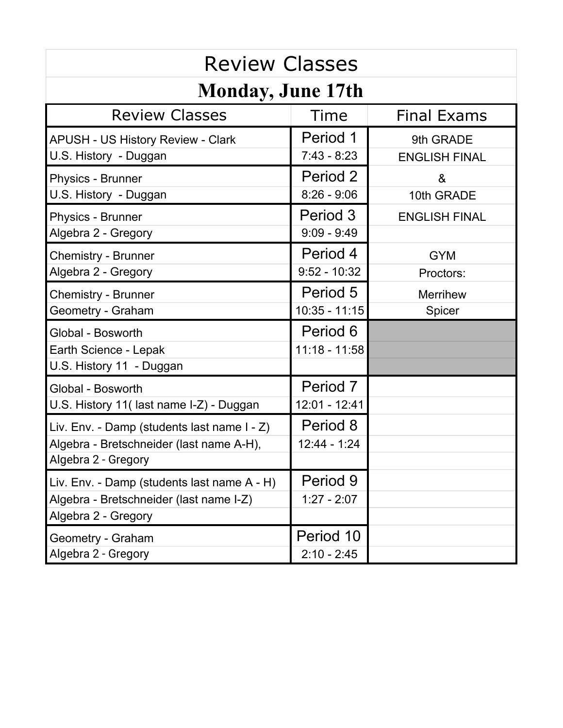| <b>Review Classes</b>                                                                                          |                             |                                   |  |
|----------------------------------------------------------------------------------------------------------------|-----------------------------|-----------------------------------|--|
| <b>Monday, June 17th</b>                                                                                       |                             |                                   |  |
| <b>Review Classes</b>                                                                                          | Time                        | <b>Final Exams</b>                |  |
| APUSH - US History Review - Clark<br>U.S. History - Duggan                                                     | Period 1<br>$7:43 - 8:23$   | 9th GRADE<br><b>ENGLISH FINAL</b> |  |
| Physics - Brunner<br>U.S. History - Duggan                                                                     | Period 2<br>$8:26 - 9:06$   | &<br>10th GRADE                   |  |
| Physics - Brunner<br>Algebra 2 - Gregory                                                                       | Period 3<br>$9:09 - 9:49$   | <b>ENGLISH FINAL</b>              |  |
| Chemistry - Brunner<br>Algebra 2 - Gregory                                                                     | Period 4<br>$9:52 - 10:32$  | <b>GYM</b><br>Proctors:           |  |
| <b>Chemistry - Brunner</b><br>Geometry - Graham                                                                | Period 5<br>$10:35 - 11:15$ | <b>Merrihew</b><br>Spicer         |  |
| Global - Bosworth<br>Earth Science - Lepak<br>U.S. History 11 - Duggan                                         | Period 6<br>11:18 - 11:58   |                                   |  |
| Global - Bosworth<br>U.S. History 11(last name I-Z) - Duggan                                                   | Period 7<br>12:01 - 12:41   |                                   |  |
| Liv. Env. - Damp (students last name I - Z)<br>Algebra - Bretschneider (last name A-H),<br>Algebra 2 - Gregory | Period 8<br>$12:44 - 1:24$  |                                   |  |
| Liv. Env. - Damp (students last name A - H)<br>Algebra - Bretschneider (last name I-Z)<br>Algebra 2 - Gregory  | Period 9<br>$1:27 - 2:07$   |                                   |  |
| Geometry - Graham<br>Algebra 2 - Gregory                                                                       | Period 10<br>$2:10 - 2:45$  |                                   |  |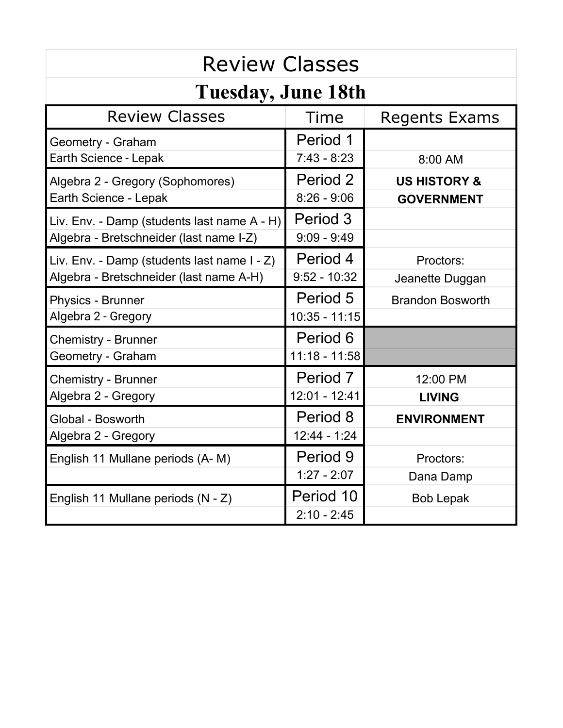| <b>Review Classes</b>                                                                  |                             |                                              |  |
|----------------------------------------------------------------------------------------|-----------------------------|----------------------------------------------|--|
| <b>Tuesday, June 18th</b>                                                              |                             |                                              |  |
| <b>Review Classes</b>                                                                  | Time                        | <b>Regents Exams</b>                         |  |
| Geometry - Graham<br>Earth Science - Lepak                                             | Period 1<br>$7:43 - 8:23$   | 8:00 AM                                      |  |
| Algebra 2 - Gregory (Sophomores)<br>Earth Science - Lepak                              | Period 2<br>$8:26 - 9:06$   | <b>US HISTORY &amp;</b><br><b>GOVERNMENT</b> |  |
| Liv. Env. - Damp (students last name A - H)<br>Algebra - Bretschneider (last name I-Z) | Period 3<br>$9:09 - 9:49$   |                                              |  |
| Liv. Env. - Damp (students last name I - Z)<br>Algebra - Bretschneider (last name A-H) | Period 4<br>$9:52 - 10:32$  | Proctors:<br>Jeanette Duggan                 |  |
| <b>Physics - Brunner</b><br>Algebra 2 - Gregory                                        | Period 5<br>$10:35 - 11:15$ | <b>Brandon Bosworth</b>                      |  |
| <b>Chemistry - Brunner</b><br>Geometry - Graham                                        | Period 6<br>$11:18 - 11:58$ |                                              |  |
| <b>Chemistry - Brunner</b><br>Algebra 2 - Gregory                                      | Period 7<br>12:01 - 12:41   | 12:00 PM<br><b>LIVING</b>                    |  |
| Global - Bosworth<br>Algebra 2 - Gregory                                               | Period 8<br>$12:44 - 1:24$  | <b>ENVIRONMENT</b>                           |  |
| English 11 Mullane periods (A-M)                                                       | Period 9<br>$1:27 - 2:07$   | Proctors:<br>Dana Damp                       |  |
| English 11 Mullane periods (N - Z)                                                     | Period 10<br>$2:10 - 2:45$  | <b>Bob Lepak</b>                             |  |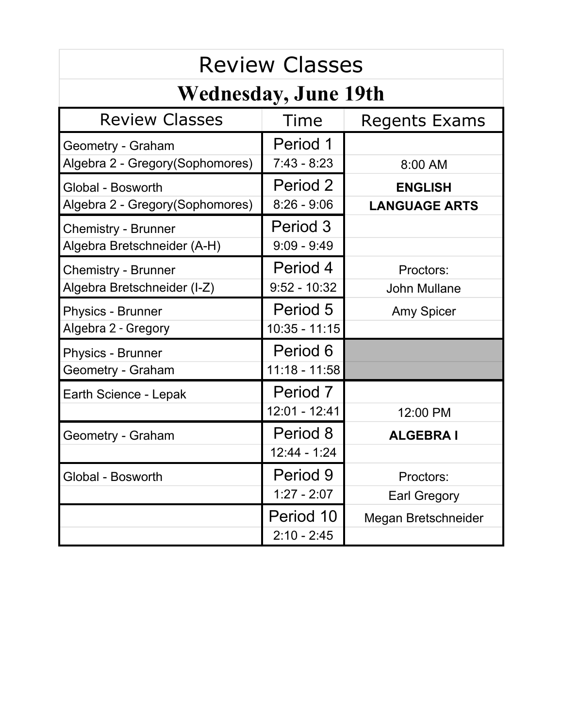| <b>Review Classes</b>                                     |                             |                                        |  |
|-----------------------------------------------------------|-----------------------------|----------------------------------------|--|
| <b>Wednesday, June 19th</b>                               |                             |                                        |  |
| <b>Review Classes</b>                                     | Time                        | <b>Regents Exams</b>                   |  |
| Geometry - Graham                                         | Period 1                    |                                        |  |
| Algebra 2 - Gregory (Sophomores)                          | $7:43 - 8:23$               | 8:00 AM                                |  |
| Global - Bosworth<br>Algebra 2 - Gregory(Sophomores)      | Period 2<br>$8:26 - 9:06$   | <b>ENGLISH</b><br><b>LANGUAGE ARTS</b> |  |
| <b>Chemistry - Brunner</b><br>Algebra Bretschneider (A-H) | Period 3<br>$9:09 - 9:49$   |                                        |  |
| <b>Chemistry - Brunner</b><br>Algebra Bretschneider (I-Z) | Period 4<br>$9:52 - 10:32$  | Proctors:<br><b>John Mullane</b>       |  |
| <b>Physics - Brunner</b><br>Algebra 2 - Gregory           | Period 5<br>$10:35 - 11:15$ | <b>Amy Spicer</b>                      |  |
| <b>Physics - Brunner</b><br>Geometry - Graham             | Period 6<br>$11:18 - 11:58$ |                                        |  |
| Earth Science - Lepak                                     | Period 7<br>12:01 - 12:41   | 12:00 PM                               |  |
| Geometry - Graham                                         | Period 8<br>12:44 - 1:24    | <b>ALGEBRA I</b>                       |  |
| Global - Bosworth                                         | Period 9                    | Proctors:                              |  |
|                                                           | $1:27 - 2:07$               | <b>Earl Gregory</b>                    |  |
|                                                           | Period 10<br>$2:10 - 2:45$  | Megan Bretschneider                    |  |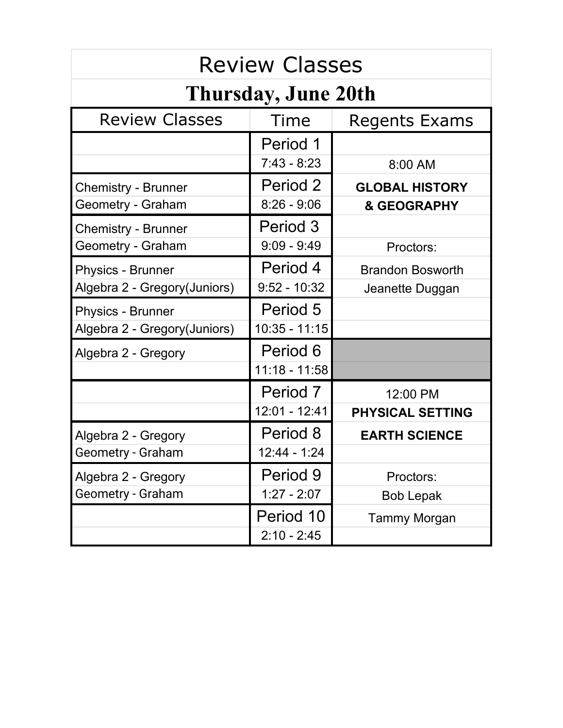| <b>Review Classes</b>        |                 |                         |  |
|------------------------------|-----------------|-------------------------|--|
| <b>Thursday, June 20th</b>   |                 |                         |  |
| <b>Review Classes</b>        | Time            | Regents Exams           |  |
|                              | Period 1        |                         |  |
|                              | $7:43 - 8:23$   | 8:00 AM                 |  |
| <b>Chemistry - Brunner</b>   | Period 2        | <b>GLOBAL HISTORY</b>   |  |
| Geometry - Graham            | $8:26 - 9:06$   | & GEOGRAPHY             |  |
| <b>Chemistry - Brunner</b>   | Period 3        |                         |  |
| Geometry - Graham            | $9:09 - 9:49$   | Proctors:               |  |
| <b>Physics - Brunner</b>     | Period 4        | <b>Brandon Bosworth</b> |  |
| Algebra 2 - Gregory(Juniors) | $9:52 - 10:32$  | Jeanette Duggan         |  |
| <b>Physics - Brunner</b>     | Period 5        |                         |  |
| Algebra 2 - Gregory(Juniors) | $10:35 - 11:15$ |                         |  |
| Algebra 2 - Gregory          | Period 6        |                         |  |
|                              | $11:18 - 11:58$ |                         |  |
|                              | Period 7        | 12:00 PM                |  |
|                              | $12:01 - 12:41$ | PHYSICAL SETTING        |  |
| Algebra 2 - Gregory          | Period 8        | <b>EARTH SCIENCE</b>    |  |
| Geometry - Graham            | $12:44 - 1:24$  |                         |  |
| Algebra 2 - Gregory          | Period 9        | Proctors:               |  |
| Geometry - Graham            | $1:27 - 2:07$   | <b>Bob Lepak</b>        |  |
|                              | Period 10       | <b>Tammy Morgan</b>     |  |
|                              | $2:10 - 2:45$   |                         |  |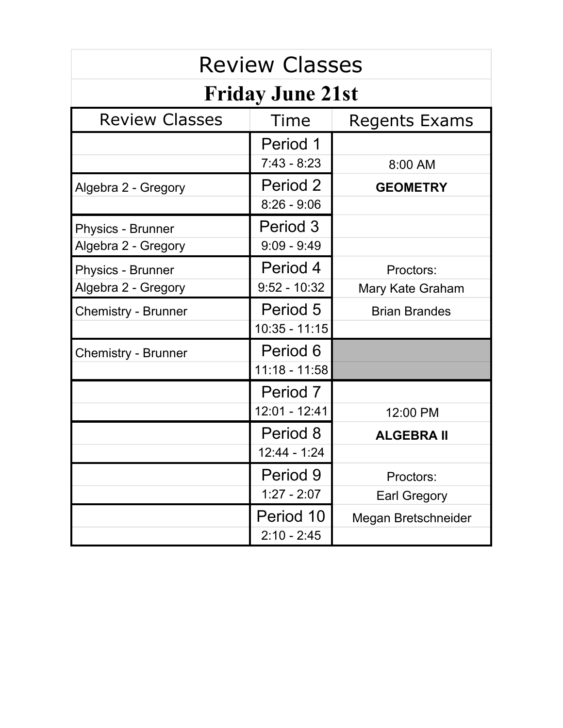| <b>Review Classes</b>      |                 |                      |  |
|----------------------------|-----------------|----------------------|--|
| <b>Friday June 21st</b>    |                 |                      |  |
| <b>Review Classes</b>      | Time            | Regents Exams        |  |
|                            | Period 1        |                      |  |
|                            | $7:43 - 8:23$   | 8:00 AM              |  |
| Algebra 2 - Gregory        | Period 2        | <b>GEOMETRY</b>      |  |
|                            | $8:26 - 9:06$   |                      |  |
| <b>Physics - Brunner</b>   | Period 3        |                      |  |
| Algebra 2 - Gregory        | $9:09 - 9:49$   |                      |  |
| <b>Physics - Brunner</b>   | Period 4        | Proctors:            |  |
| Algebra 2 - Gregory        | $9:52 - 10:32$  | Mary Kate Graham     |  |
| <b>Chemistry - Brunner</b> | Period 5        | <b>Brian Brandes</b> |  |
|                            | $10:35 - 11:15$ |                      |  |
| <b>Chemistry - Brunner</b> | Period 6        |                      |  |
|                            | 11:18 - 11:58   |                      |  |
|                            | Period 7        |                      |  |
|                            | 12:01 - 12:41   | 12:00 PM             |  |
|                            | Period 8        | <b>ALGEBRA II</b>    |  |
|                            | $12:44 - 1:24$  |                      |  |
|                            | Period 9        | Proctors:            |  |
|                            | $1:27 - 2:07$   | <b>Earl Gregory</b>  |  |
|                            | Period 10       | Megan Bretschneider  |  |
|                            | $2:10 - 2:45$   |                      |  |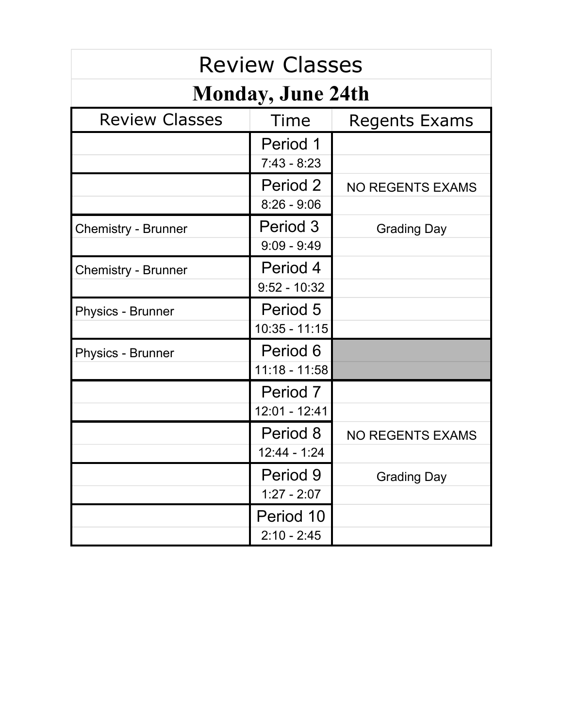| <b>Review Classes</b>      |                 |                         |  |
|----------------------------|-----------------|-------------------------|--|
| <b>Monday, June 24th</b>   |                 |                         |  |
| <b>Review Classes</b>      | Time            | Regents Exams           |  |
|                            | Period 1        |                         |  |
|                            | $7:43 - 8:23$   |                         |  |
|                            | Period 2        | <b>NO REGENTS EXAMS</b> |  |
|                            | $8:26 - 9:06$   |                         |  |
| <b>Chemistry - Brunner</b> | Period 3        | <b>Grading Day</b>      |  |
|                            | $9:09 - 9:49$   |                         |  |
| <b>Chemistry - Brunner</b> | Period 4        |                         |  |
|                            | $9:52 - 10:32$  |                         |  |
| <b>Physics - Brunner</b>   | Period 5        |                         |  |
|                            | $10:35 - 11:15$ |                         |  |
| <b>Physics - Brunner</b>   | Period 6        |                         |  |
|                            | 11:18 - 11:58   |                         |  |
|                            | Period 7        |                         |  |
|                            | 12:01 - 12:41   |                         |  |
|                            | Period 8        | <b>NO REGENTS EXAMS</b> |  |
|                            | $12:44 - 1:24$  |                         |  |
|                            | Period 9        | <b>Grading Day</b>      |  |
|                            | $1:27 - 2:07$   |                         |  |
|                            | Period 10       |                         |  |
|                            | $2:10 - 2:45$   |                         |  |